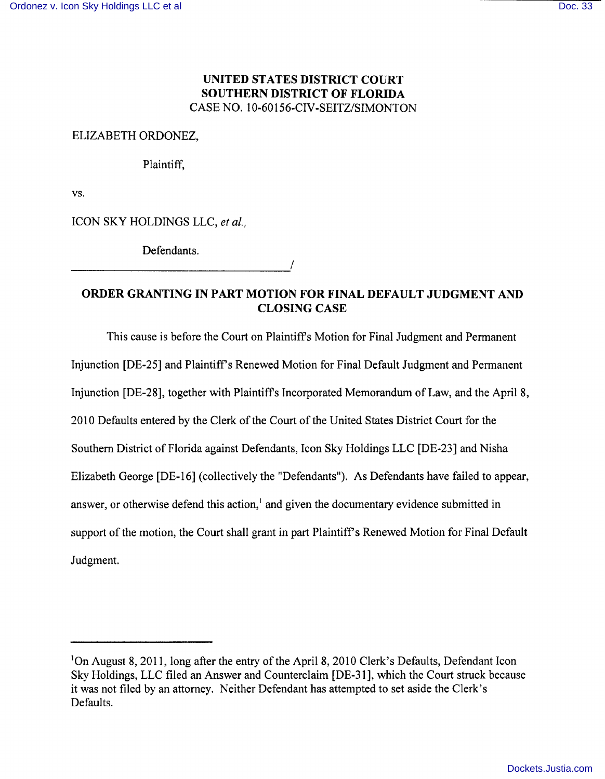# **UNITED STATES DISTRICT COURT SOUTHERN DISTRICT OF FLORIDA**  CASE NO. 10-60156-CIV-SEITZ/SIMONTON

## ELIZABETH ORDONEZ,

Plaintiff,

vs.

ICON SKY HOLDINGS LLC, *et aI.,* 

Defendants.

# **ORDER GRANTING IN PART MOTION FOR FINAL DEFAULT JUDGMENT AND CLOSING CASE**

This cause is before the Court on Plaintiffs Motion for Final Judgment and Permanent Injunction [DE-25] and Plaintiff's Renewed Motion for Final Default Judgment and Permanent Injunction [DE-28], together with Plaintiffs Incorporated Memorandum of Law, and the April 8, 2010 Defaults entered by the Clerk of the Court of the United States District Court for the Southern District of Florida against Defendants, Icon Sky Holdings LLC [DE-23] and Nisha Elizabeth George [DE-16] (collectively the "Defendants"). As Defendants have failed to appear, answer, or otherwise defend this action,<sup>1</sup> and given the documentary evidence submitted in support of the motion, the Court shall grant in part Plaintiff's Renewed Motion for Final Default Judgment.

<sup>&</sup>lt;sup>1</sup>On August 8, 2011, long after the entry of the April 8, 2010 Clerk's Defaults, Defendant Icon Sky Holdings, LLC filed an Answer and Counterclaim [DE-31], which the Court struck because it was not filed by an attorney. Neither Defendant has attempted to set aside the Clerk's Defaults.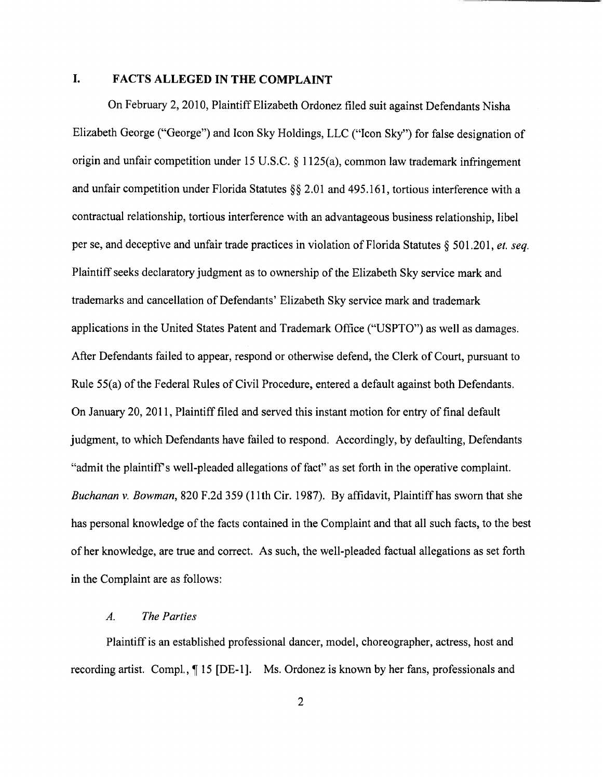# **I. FACTS ALLEGED IN THE COMPLAINT**

On February 2,2010, Plaintiff Elizabeth Ordonez filed suit against Defendants Nisha Elizabeth George ("George") and Icon Sky Holdings, LLC ("Icon Sky") for false designation of origin and unfair competition under 15 U.S.C. § 1125(a), common law trademark infringement and unfair competition under Florida Statutes §§ 2.01 and 495.161, tortious interference with a contractual relationship, tortious interference with an advantageous business relationship, libel per se, and deceptive and unfair trade practices in violation of Florida Statutes § 501.201, *et. seq.*  Plaintiff seeks declaratory judgment as to ownership of the Elizabeth Sky service mark and trademarks and cancellation of Defendants' Elizabeth Sky service mark and trademark applications in the United States Patent and Trademark Office ("USPTO") as well as damages. After Defendants failed to appear, respond or otherwise defend, the Clerk of Court, pursuant to Rule 55(a) of the Federal Rules of Civil Procedure, entered a default against both Defendants. On January 20, 2011, Plaintiff filed and served this instant motion for entry of final default judgment, to which Defendants have failed to respond. Accordingly, by defaulting, Defendants "admit the plaintiffs well-pleaded allegations of fact" as set forth in the operative complaint. *Buchanan* v. *Bowman,* 820 F.2d 359 (l1th Cir. 1987). By affidavit, Plaintiff has sworn that she has personal knowledge of the facts contained in the Complaint and that all such facts, to the best of her knowledge, are true and correct. As such, the well-pleaded factual allegations as set forth in the Complaint are as follows:

### *A. The Parties*

Plaintiff is an established professional dancer, model, choreographer, actress, host and recording artist. Compl.,  $\P$  15 [DE-1]. Ms. Ordonez is known by her fans, professionals and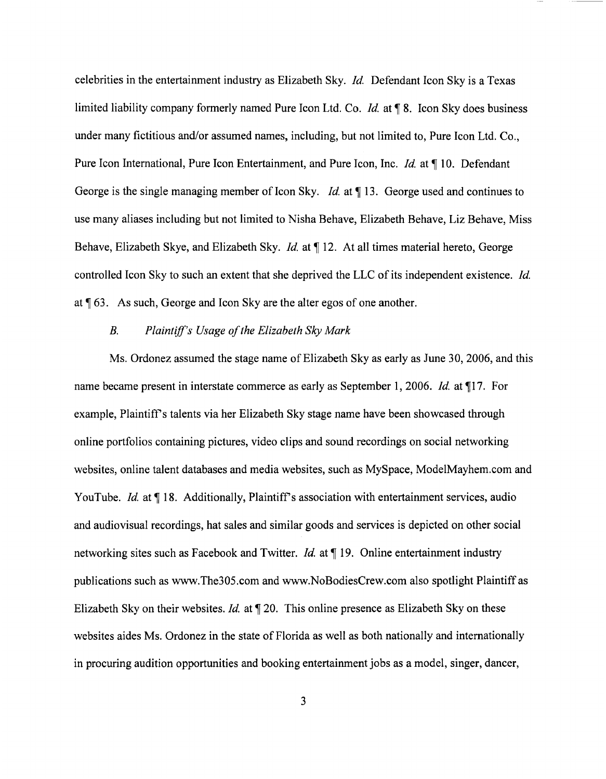celebrities in the entertainment industry as Elizabeth Sky. *Id*. Defendant Icon Sky is a Texas limited liability company formerly named Pure Icon Ltd. Co. *Id.* at **18.** Icon Sky does business under many fictitious and/or assumed names, including, but not limited to, Pure Icon Ltd. Co., Pure Icon International, Pure Icon Entertainment, and Pure Icon, Inc. *Id.* at ¶ 10. Defendant George is the single managing member of Icon Sky. *Id.* at 113. George used and continues to use many aliases including but not limited to Nisha Behave, Elizabeth Behave, Liz Behave, Miss Behave, Elizabeth Skye, and Elizabeth Sky. *Id.* at  $\P$  12. At all times material hereto, George controlled Icon Sky to such an extent that she deprived the LLC of its independent existence. *Id*  at  $\llbracket 63$ . As such, George and Icon Sky are the alter egos of one another.

### *B. Plaintiff's Usage of the Elizabeth Sky Mark*

Ms. Ordonez assumed the stage name of Elizabeth Sky as early as June 30, 2006, and this name became present in interstate commerce as early as September 1, 2006. *Id.* at  $\P$ 17. For example, Plaintiff s talents via her Elizabeth Sky stage name have been showcased through online portfolios containing pictures, video clips and sound recordings on social networking websites, online talent databases and media websites, such as MySpace, ModelMayhem.com and YouTube. *Id.* at ¶18. Additionally, Plaintiff's association with entertainment services, audio and audiovisual recordings, hat sales and similar goods and services is depicted on other social networking sites such as Facebook and Twitter. *Id.* at  $\P$  19. Online entertainment industry publications such as www.The30S.com and www.NoBodiesCrew.com also spotlight Plaintiff as Elizabeth Sky on their websites. *Id.* at  $\P$  20. This online presence as Elizabeth Sky on these websites aides Ms. Ordonez in the state of Florida as well as both nationally and internationally in procuring audition opportunities and booking entertainment jobs as a model, singer, dancer,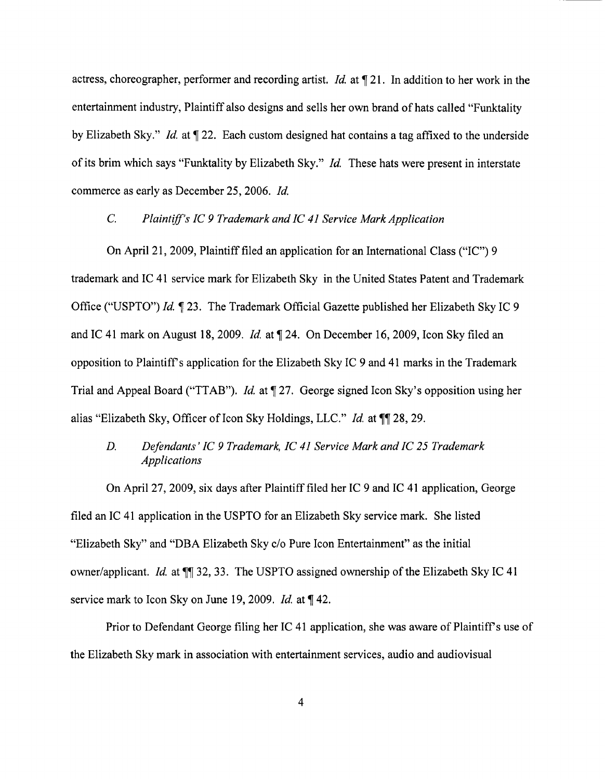actress, choreographer, performer and recording artist. *Id.* at 121. In addition to her work in the entertainment industry, Plaintiff also designs and sells her own brand of hats called "Funktality by Elizabeth Sky." *Id.* at  $\P$  22. Each custom designed hat contains a tag affixed to the underside of its brim which says "Funktality by Elizabeth Sky." *Id.* These hats were present in interstate commerce as early as December 25, 2006. *Id* 

## C. Plaintiff's IC 9 Trademark and IC 41 Service Mark Application

On April 21, 2009, Plaintiff filed an application for an International Class ("IC") 9 trademark and IC 41 service mark for Elizabeth Sky in the United States Patent and Trademark Office ("USPTO") *Id* 23. The Trademark Official Gazette published her Elizabeth Sky IC 9 and IC 41 mark on August 18, 2009. *Id.* at 124. On December 16, 2009, Icon Sky filed an opposition to Plaintiffs application for the Elizabeth Sky IC 9 and 41 marks in the Trademark Trial and Appeal Board ("TTAB"). *Id.* at  $\P$  27. George signed Icon Sky's opposition using her alias "Elizabeth Sky, Officer of Icon Sky Holdings, LLC." *Id.* at  $\P$  28, 29.

# *D. Defendants'* Ie 9 *Trademark,* Ie 41 *Service Mark and* Ie 25 *Trademark Applications*

On April 27, 2009, six days after Plaintiff filed her IC 9 and IC 41 application, George filed an IC 41 application in the USPTO for an Elizabeth Sky service mark. She listed "Elizabeth Sky" and "DBA Elizabeth Sky c/o Pure Icon Entertainment" as the initial owner/applicant. *Id.* at  $\P$  32, 33. The USPTO assigned ownership of the Elizabeth Sky IC 41 service mark to Icon Sky on June 19, 2009. *Id.* at  $\P$  42.

Prior to Defendant George filing her IC 41 application, she was aware of Plaintiff's use of the Elizabeth Sky mark in association with entertainment services, audio and audiovisual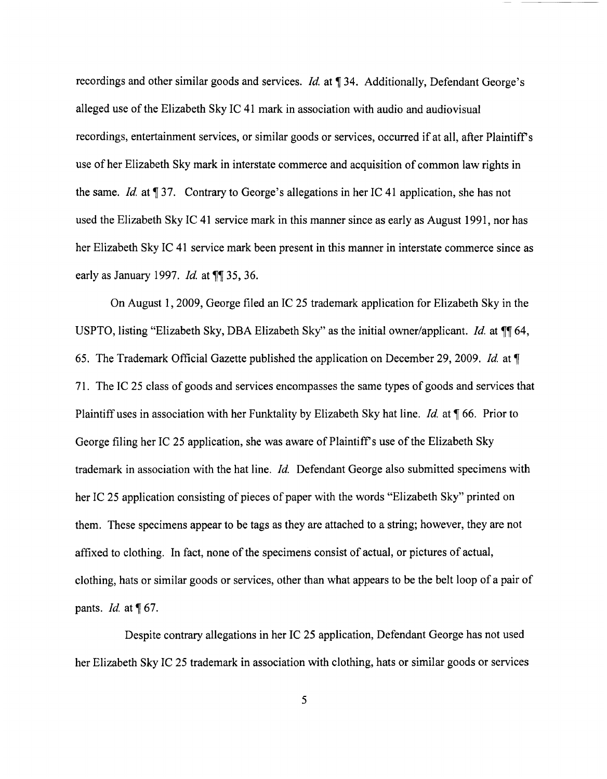recordings and other similar goods and services. *Id.* at 134. Additionally, Defendant George's alleged use of the Elizabeth Sky IC 41 mark in association with audio and audiovisual recordings, entertainment services, or similar goods or services, occurred if at all, after Plaintiffs use of her Elizabeth Sky mark in interstate commerce and acquisition of common law rights in the same. *Id.* at  $\sqrt{ }37$ . Contrary to George's allegations in her IC 41 application, she has not used the Elizabeth Sky IC 41 service mark in this manner since as early as August 1991, nor has her Elizabeth Sky IC 41 service mark been present in this manner in interstate commerce since as early as January 1997. *Id.* at **11** 35, 36.

On August 1,2009, George filed an IC 25 trademark application for Elizabeth Sky in the USPTO, listing "Elizabeth Sky, DBA Elizabeth Sky" as the initial owner/applicant. *Id.* at 64, 65. The Trademark Official Gazette published the application on December 29,2009. *Id.* at 71. The IC 25 class of goods and services encompasses the same types of goods and services that Plaintiff uses in association with her Funktality by Elizabeth Sky hat line. *Id.* at  $\P$  66. Prior to George filing her IC 25 application, she was aware of Plaintiff's use of the Elizabeth Sky trademark in association with the hat line. *Id.* Defendant George also submitted specimens with her IC 25 application consisting of pieces of paper with the words "Elizabeth Sky" printed on them. These specimens appear to be tags as they are attached to a string; however, they are not affixed to clothing. In fact, none of the specimens consist of actual, or pictures of actual, clothing, hats or similar goods or services, other than what appears to be the belt loop of a pair of pants. *Id.* at [67.

Despite contrary allegations in her IC 25 application, Defendant George has not used her Elizabeth Sky IC 25 trademark in association with clothing, hats or similar goods or services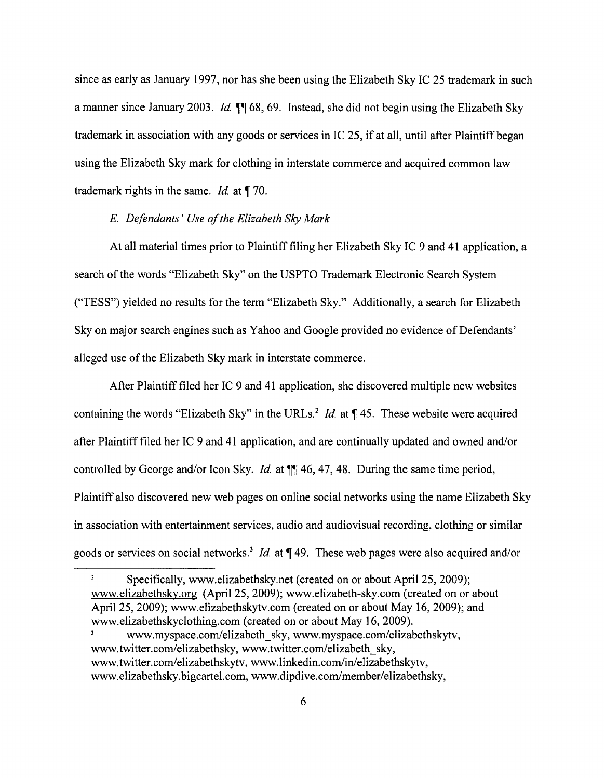since as early as January 1997, nor has she been using the Elizabeth Sky IC 25 trademark in such a manner since January 2003. *Id.*  $\P$  68,69. Instead, she did not begin using the Elizabeth Sky trademark in association with any goods or services in IC 25, if at all, until after Plaintiff began using the Elizabeth Sky mark for clothing in interstate commerce and acquired common law trademark rights in the same. *Id.* at  $\P$  70.

### E. *Defendants' Use afthe Elizabeth Sky Mark*

At all material times prior to Plaintiff filing her Elizabeth Sky IC 9 and 41 application, a search of the words "Elizabeth Sky" on the USPTO Trademark Electronic Search System ("TESS") yielded no results for the term "Elizabeth Sky." Additionally, a search for Elizabeth Sky on major search engines such as Yahoo and Google provided no evidence of Defendants' alleged use of the Elizabeth Sky mark in interstate commerce.

After Plaintiff filed her IC 9 and 41 application, she discovered multiple new websites containing the words "Elizabeth Sky" in the URLs.<sup>2</sup> *Id.* at  $\P$  45. These website were acquired after Plaintiff filed her IC 9 and 41 application, and are continually updated and owned and/or controlled by George and/or Icon Sky. *Id.* at  $\P$  46, 47, 48. During the same time period, Plaintiff also discovered new web pages on online social networks using the name Elizabeth Sky in association with entertainment services, audio and audiovisual recording, clothing or similar goods or services on social networks.<sup>3</sup> *Id.* at  $\P$  49. These web pages were also acquired and/or

 $\mathbf 2$ Specifically, www.elizabethsky.net (created on or about April 25, 2009); www.elizabethsky.org (April 25, 2009); www.elizabeth-sky.com (created on or about April 25, 2009); www.elizabethskytv.com (created on or about May 16, 2009); and www.elizabethskyclothing.com (created on or about May 16, 2009). www.myspace.com/elizabeth\_sky, www.myspace.com/elizabethskytv,

www.twitter.com/elizabethsky. www.twitter.com/elizabeth\_sky. www.twitter.com/elizabethskytv, www.linkedin.com/in/elizabethskytv, www.elizabethsky.bigcartel.com, www.dipdive.com/member/elizabethsky,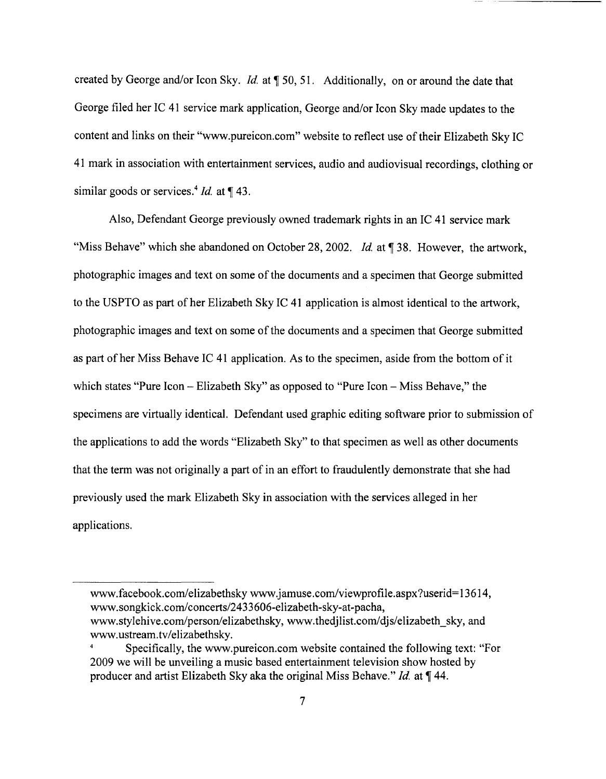created by George and/or Icon Sky. *Id.* at  $\sqrt{50}$ , 51. Additionally, on or around the date that George filed her IC 41 service mark application, George and/or Icon Sky made updates to the content and links on their "www.pureicon.com" website to reflect use of their Elizabeth Sky IC 41 mark in association with entertainment services, audio and audiovisual recordings, clothing or similar goods or services.<sup>4</sup> *Id.* at ¶ 43.

Also, Defendant George previously owned trademark rights in an IC 41 service mark "Miss Behave" which she abandoned on October 28, 2002. *Id.* at ¶ 38. However, the artwork, photographic images and text on some of the documents and a specimen that George submitted to the USPTO as part of her Elizabeth Sky IC 41 application is almost identical to the artwork, photographic images and text on some of the documents and a specimen that George submitted as part of her Miss Behave IC 41 application. As to the specimen, aside from the bottom of it which states "Pure Icon – Elizabeth Sky" as opposed to "Pure Icon – Miss Behave," the specimens are virtually identical. Defendant used graphic editing software prior to submission of the applications to add the words "Elizabeth Sky" to that specimen as well as other documents that the term was not originally a part of in an effort to fraudulently demonstrate that she had previously used the mark Elizabeth Sky in association with the services alleged in her applications.

www.facebook.com/elizabethsky www.jamuse.com/viewprofile.aspx?userid=13614, www.songkick.com/concerts/2433606-elizabeth-sky-at-pacha. www.stylehive.com/person/elizabethsky, www.thedjlist.com/djs/elizabeth\_sky, and www.ustream.tv/elizabethsky .

Specifically, the www.pureicon.com website contained the following text: "For 2009 we will be unveiling a music based entertainment television show hosted by producer and artist Elizabeth Sky aka the original Miss Behave." *Id.* at  $\P$  44.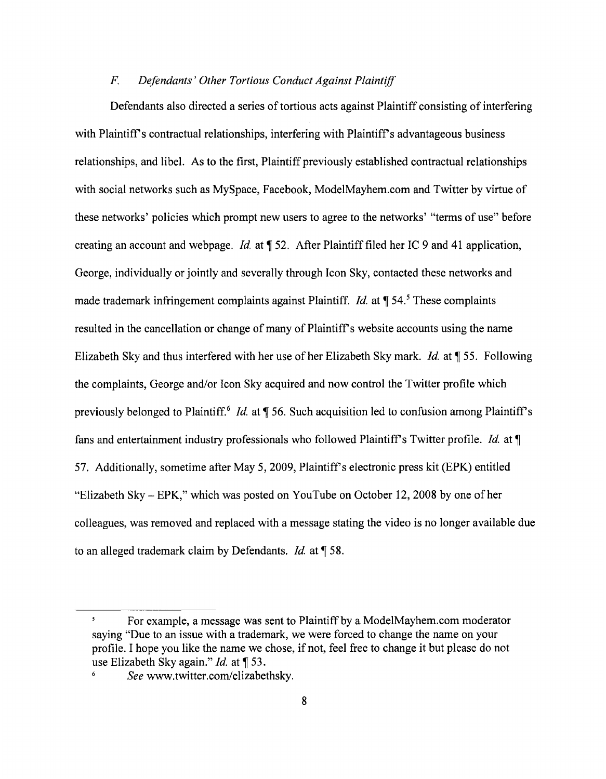### F. *Defendants' Other Tortious Conduct Against Plaintiff*

Defendants also directed a series of tortious acts against Plaintiff consisting of interfering with Plaintiff's contractual relationships, interfering with Plaintiff's advantageous business relationships, and libel. As to the first, Plaintiff previously established contractual relationships with social networks such as MySpace, Facebook, ModelMayhem.com and Twitter by virtue of these networks' policies which prompt new users to agree to the networks' "terms of use" before creating an account and webpage. *Id.* at  $\parallel$  52. After Plaintiff filed her IC 9 and 41 application, George, individually or jointly and severally through Icon Sky, contacted these networks and made trademark infringement complaints against Plaintiff. *Id.* at ¶ 54.<sup>5</sup> These complaints resulted in the cancellation or change of many of Plaintiff's website accounts using the name Elizabeth Sky and thus interfered with her use of her Elizabeth Sky mark. *Id.* at ¶ 55. Following the complaints, George and/or Icon Sky acquired and now control the Twitter profile which previously belonged to Plaintiff.<sup>6</sup> *Id.* at ¶ 56. Such acquisition led to confusion among Plaintiff's fans and entertainment industry professionals who followed Plaintiffs Twitter profile. *Id.* at 57. Additionally, sometime after May 5, 2009, Plaintiffs electronic press kit (EPK) entitled "Elizabeth Sky - EPK," which was posted on YouTube on October 12,2008 by one of her colleagues, was removed and replaced with a message stating the video is no longer available due to an alleged trademark claim by Defendants. *Id.* at 158.

 $\mathbf{5}$ For example, a message was sent to Plaintiff by a ModelMayhem.com moderator saying "Due to an issue with a trademark, we were forced to change the name on your profile. I hope you like the name we chose, if not, feel free to change it but please do not use Elizabeth Sky again." *Id.* at ¶ 53.

 $\boldsymbol{6}$ See www.twitter.com/elizabethsky.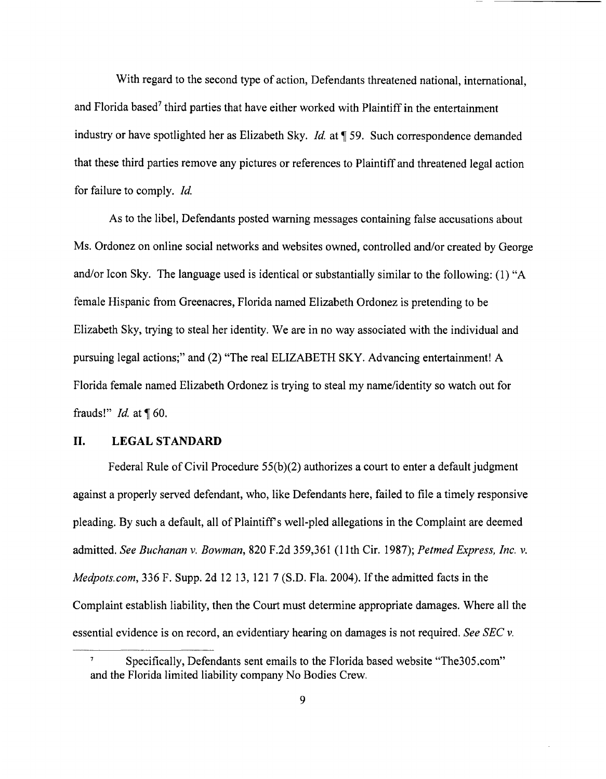With regard to the second type of action, Defendants threatened national, international, and Florida based<sup>7</sup> third parties that have either worked with Plaintiff in the entertainment industry or have spotlighted her as Elizabeth Sky. *Id.* at ¶ 59. Such correspondence demanded that these third parties remove any pictures or references to Plaintiff and threatened legal action for failure to comply. *Id.* 

As to the libel, Defendants posted warning messages containing false accusations about Ms. Ordonez on online social networks and websites owned, controlled and/or created by George and/or Icon Sky. The language used is identical or substantially similar to the following: (1) "A female Hispanic from Greenacres, Florida named Elizabeth Ordonez is pretending to be Elizabeth Sky, trying to steal her identity. We are in no way associated with the individual and pursuing legal actions;" and (2) "The real ELIZABETH SKY. Advancing entertainment! A Florida female named Elizabeth Ordonez is trying to steal my name/identity so watch out for frauds!" *Id.* at ¶ 60.

## **II. LEGAL STANDARD**

Federal Rule of Civil Procedure 55(b)(2) authorizes a court to enter a default judgment against a properly served defendant, who, like Defendants here, failed to file a timely responsive pleading. By such a default, all of Plaintiffs well-pled allegations in the Complaint are deemed admitted. *See Buchanan* v. *Bowman,* 820 F.2d 359,361 (1Ith Cir. 1987); *Petmed Express, Inc.* v. *Medpots.com,* 336 F. Supp. 2d 12 13, 121 7 (S.D. Fla. 2004). If the admitted facts in the Complaint establish liability, then the Court must determine appropriate damages. Where all the essential evidence is on record, an evidentiary hearing on damages is not required. *See SEC* v.

Specifically, Defendants sent emails to the Florida based website "The305.com" and the Florida limited liability company No Bodies Crew.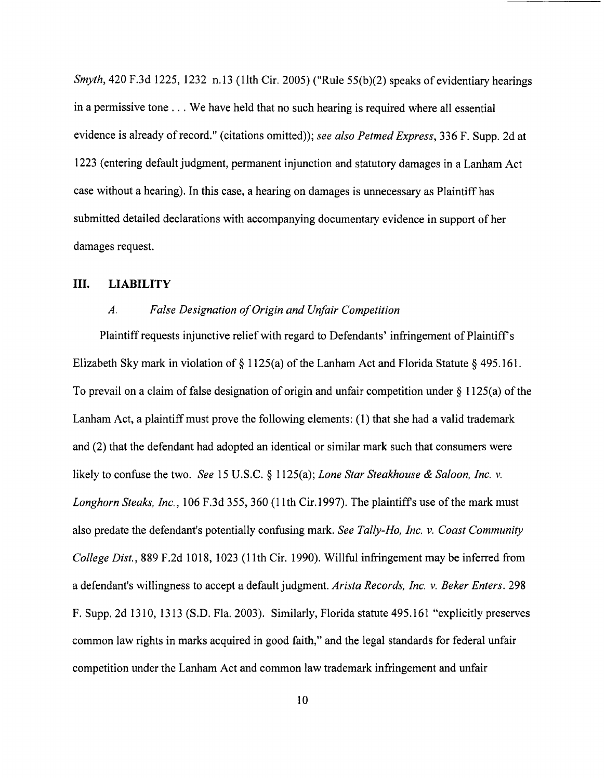*Smyth*, 420 F.3d 1225, 1232 n.13 (11th Cir. 2005) ("Rule 55(b)(2) speaks of evidentiary hearings in a permissive tone ... We have held that no such hearing is required where all essential evidence is already of record." (citations omitted)); *see also Petmed Express,* 336 F. Supp. 2d at 1223 (entering default judgment, permanent injunction and statutory damages in a Lanham Act case without a hearing). In this case, a hearing on damages is unnecessary as Plaintiff has submitted detailed declarations with accompanying documentary evidence in support of her damages request.

### **III. LIABILITY**

### *A. False Designation of Origin and Unfair Competition*

Plaintiff requests injunctive relief with regard to Defendants' infringement of Plaintiff's Elizabeth Sky mark in violation of § 1125(a) of the Lanham Act and Florida Statute § 495.161. To prevail on a claim of false designation of origin and unfair competition under  $\S$  1125(a) of the Lanham Act, a plaintiff must prove the following elements: (1) that she had a valid trademark and (2) that the defendant had adopted an identical or similar mark such that consumers were likely to confuse the two. *See* 15 U.S.C. § 1125(a); *Lone Star Steakhouse* & *Saloon, Inc. v. Longhorn Steaks, Inc.,* 106 F.3d 355, 360 (lIth Cir.1997). The plaintiffs use of the mark must also predate the defendant's potentially confusing mark. *See Tally-Ho, Inc. v. Coast Community College Dist.,* 889 F.2d 1018, 1023 (lIth Cir. 1990). Willful infringement may be inferred from a defendant's willingness to accept a default judgment. *Arista Records, Inc. v. Beker Enters. 298*  F. Supp. 2d 1310,1313 (S.D. Fla. 2003). Similarly, Florida statute 495.161 "explicitly preserves common law rights in marks acquired in good faith," and the legal standards for federal unfair competition under the Lanham Act and common law trademark infringement and unfair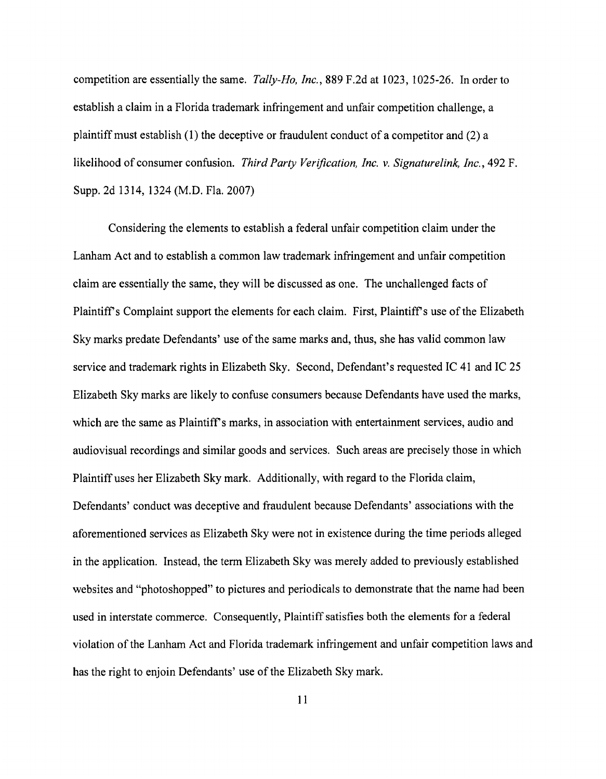competition are essentially the same. *Tally-Ho, Inc.,* 889 F.2d at 1023, 1025-26. In order to establish a claim in a Florida trademark infringement and unfair competition challenge, a plaintiff must establish (l) the deceptive or fraudulent conduct of a competitor and (2) a likelihood of consumer confusion. *Third Party Verification, Inc. v. Signaturelink, Inc.,* 492 F. Supp. 2d 1314, 1324 (M.D. Fla. 2007)

Considering the elements to establish a federal unfair competition claim under the Lanham Act and to establish a common law trademark infringement and unfair competition claim are essentially the same, they will be discussed as one. The unchallenged facts of Plaintiff's Complaint support the elements for each claim. First, Plaintiff's use of the Elizabeth Sky marks predate Defendants' use of the same marks and, thus, she has valid common law service and trademark rights in Elizabeth Sky. Second, Defendant's requested IC 41 and IC 25 Elizabeth Sky marks are likely to confuse consumers because Defendants have used the marks, which are the same as Plaintiff's marks, in association with entertainment services, audio and audiovisual recordings and similar goods and services. Such areas are precisely those in which Plaintiff uses her Elizabeth Sky mark. Additionally, with regard to the Florida claim, Defendants' conduct was deceptive and fraudulent because Defendants' associations with the aforementioned services as Elizabeth Sky were not in existence during the time periods alleged in the application. Instead, the term Elizabeth Sky was merely added to previously established websites and "photoshopped" to pictures and periodicals to demonstrate that the name had been used in interstate commerce. Consequently, Plaintiff satisfies both the elements for a federal violation of the Lanham Act and Florida trademark infringement and unfair competition laws and has the right to enjoin Defendants' use of the Elizabeth Sky mark.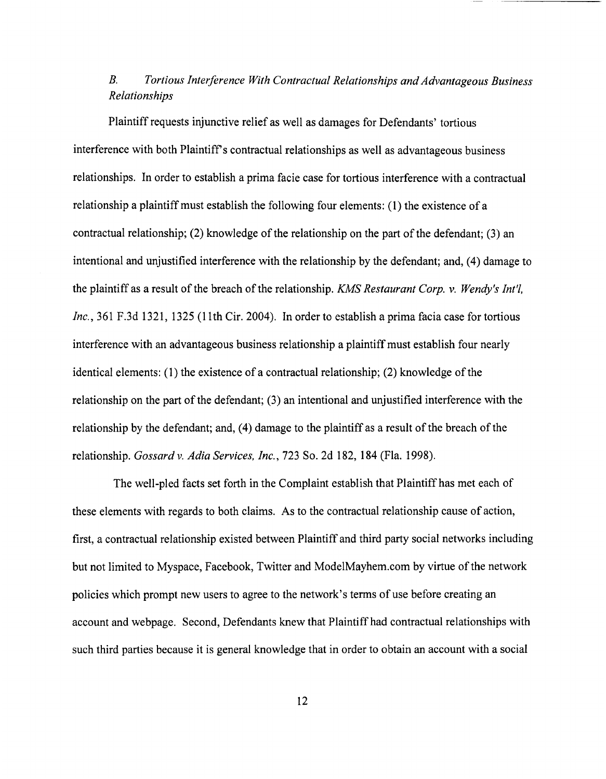# *B. Tortious Interference With Contractual Relationships and Advantageous Business Relationships*

Plaintiff requests injunctive relief as well as damages for Defendants' tortious interference with both Plaintiff's contractual relationships as well as advantageous business relationships. In order to establish a prima facie case for tortious interference with a contractual relationship a plaintiff must establish the following four elements: (1) the existence of a contractual relationship; (2) knowledge of the relationship on the part of the defendant; (3) an intentional and unjustified interference with the relationship by the defendant; and, (4) damage to the plaintiff as a result of the breach of the relationship. *KMS Restaurant Corp.* v. *Wendy's Int'l, Inc.*, 361 F.3d 1321, 1325 (11th Cir. 2004). In order to establish a prima facia case for tortious interference with an advantageous business relationship a plaintiff must establish four nearly identical elements: (1) the existence of a contractual relationship; (2) knowledge of the relationship on the part of the defendant; (3) an intentional and unjustified interference with the relationship by the defendant; and, (4) damage to the plaintiff as a result of the breach of the relationship. *Gossard* v. *Adia Services, Inc.,* 723 So. 2d 182, 184 (Fla. 1998).

The well-pled facts set forth in the Complaint establish that Plaintiff has met each of these elements with regards to both claims. As to the contractual relationship cause of action, first, a contractual relationship existed between Plaintiff and third party social networks including but not limited to Myspace, Facebook, Twitter and ModelMayhem.com by virtue of the network policies which prompt new users to agree to the network's terms of use before creating an account and webpage. Second, Defendants knew that Plaintiff had contractual relationships with such third parties because it is general knowledge that in order to obtain an account with a social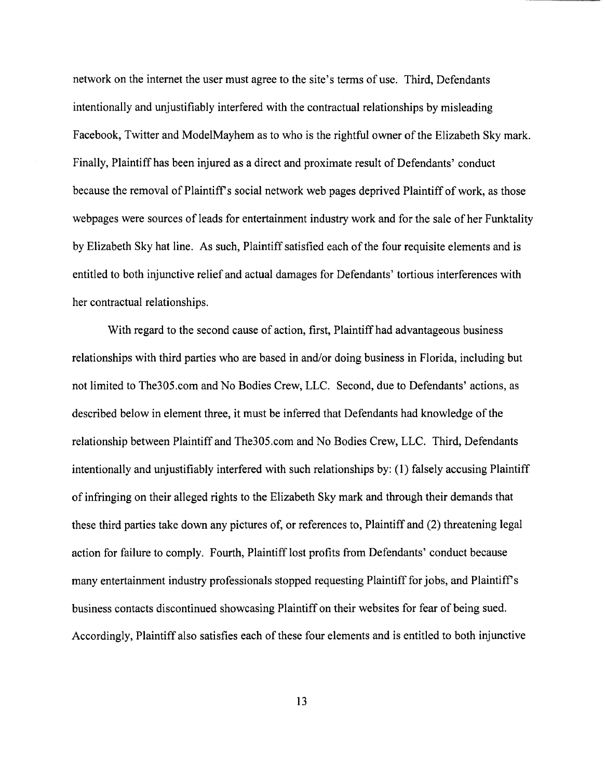network on the internet the user must agree to the site's terms of use. Third, Defendants intentionally and unjustifiably interfered with the contractual relationships by misleading Facebook, Twitter and ModelMayhem as to who is the rightful owner of the Elizabeth Sky mark. Finally, Plaintiff has been injured as a direct and proximate result of Defendants' conduct because the removal of Plaintiff s social network web pages deprived Plaintiff of work, as those webpages were sources of leads for entertainment industry work and for the sale of her Funktality by Elizabeth Sky hat line. As such, Plaintiff satisfied each of the four requisite elements and is entitled to both injunctive relief and actual damages for Defendants' tortious interferences with her contractual relationships.

With regard to the second cause of action, first, Plaintiff had advantageous business relationships with third parties who are based in and/or doing business in Florida, including but not limited to The305.com and No Bodies Crew, LLC. Second, due to Defendants' actions, as described below in element three, it must be inferred that Defendants had knowledge of the relationship between Plaintiff and The305.com and No Bodies Crew, LLC. Third, Defendants intentionally and unjustifiably interfered with such relationships by: (1) falsely accusing Plaintiff of infringing on their alleged rights to the Elizabeth Sky mark and through their demands that these third parties take down any pictures of, or references to, Plaintiff and (2) threatening legal action for failure to comply. Fourth, Plaintiff lost profits from Defendants' conduct because many entertainment industry professionals stopped requesting Plaintiff for jobs, and Plaintiff's business contacts discontinued showcasing Plaintiff on their websites for fear of being sued. Accordingly, Plaintiff also satisfies each of these four elements and is entitled to both injunctive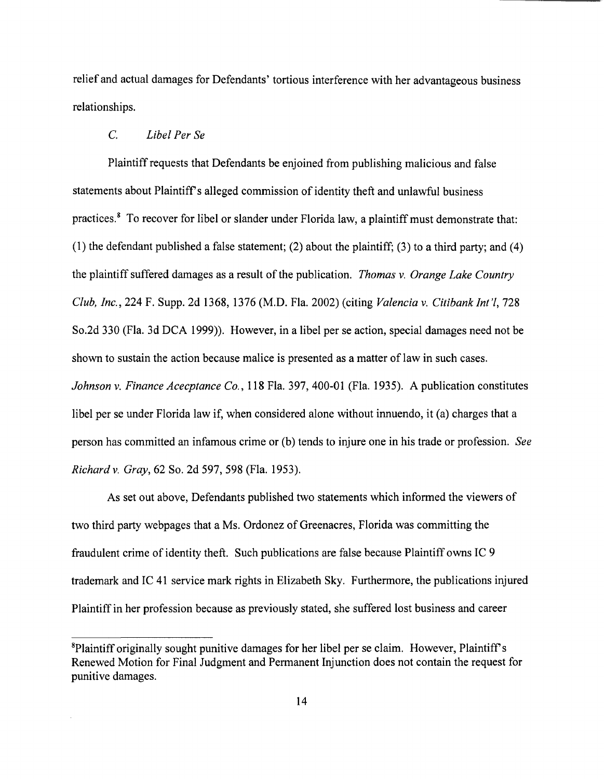relief and actual damages for Defendants' tortious interference with her advantageous business relationships.

## C. *Libel Per Se*

Plaintiff requests that Defendants be enjoined from publishing malicious and false statements about Plaintiff's alleged commission of identity theft and unlawful business practices.8 To recover for libel or slander under Florida law, a plaintiff must demonstrate that: (1) the defendant published a false statement; (2) about the plaintiff; (3) to a third party; and (4) the plaintiff suffered damages as a result of the publication. *Thomas* v. *Orange Lake Country Club, Inc.,* 224 F. Supp. 2d 1368, 1376 (M.D. Fla. 2002) (citing *Valencia* v. *Citibank Int'l, 728*  So.2d 330 (Fla. 3d DCA 1999)). However, in a libel per se action, special damages need not be shown to sustain the action because malice is presented as a matter of law in such cases. *Johnson* v. *Finance Acecptance Co.,* 118 Fla. 397, 400-01 (Fla. 1935). A publication constitutes libel per se under Florida law if, when considered alone without innuendo, it (a) charges that a person has committed an infamous crime or (b) tends to injure one in his trade or profession. *See Richardv. Gray,* 62 So. 2d 597,598 (Fla. 1953).

As set out above, Defendants published two statements which informed the viewers of two third party webpages that a Ms. Ordonez of Greenacres, Florida was committing the fraudulent crime of identity theft. Such publications are false because Plaintiff owns IC 9 trademark and IC 41 service mark rights in Elizabeth Sky. Furthermore, the publications injured Plaintiff in her profession because as previously stated, she suffered lost business and career

<sup>&</sup>lt;sup>8</sup>Plaintiff originally sought punitive damages for her libel per se claim. However, Plaintiff's Renewed Motion for Final Judgment and Permanent Injunction does not contain the request for punitive damages.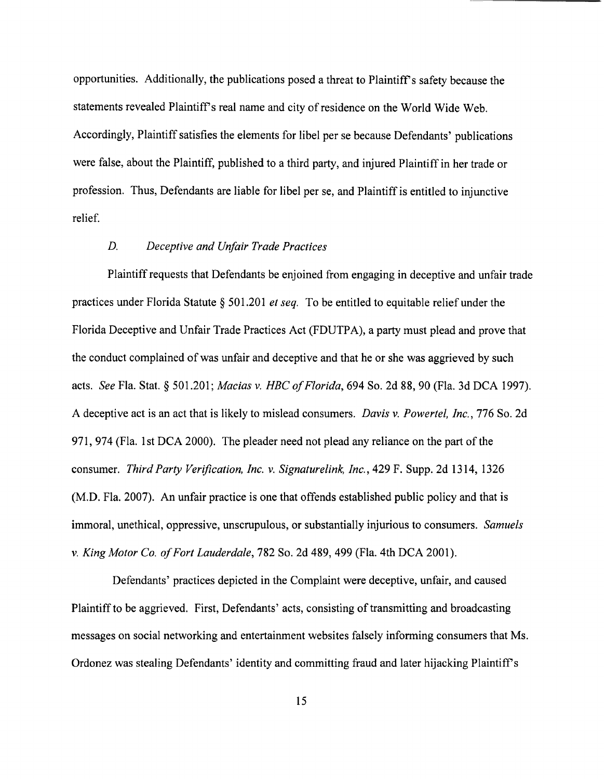opportunities. Additionally, the publications posed a threat to Plaintiff's safety because the statements revealed Plaintiff's real name and city of residence on the World Wide Web. Accordingly, Plaintiff satisfies the elements for libel per se because Defendants' publications were false, about the Plaintiff, published to a third party, and injured Plaintiff in her trade or profession. Thus, Defendants are liable for libel per se, and Plaintiff is entitled to injunctive relief.

### *D. Deceptive and Unfair Trade Practices*

Plaintiff requests that Defendants be enjoined from engaging in deceptive and unfair trade practices under Florida Statute § 501.201 *et seq.* To be entitled to equitable relief under the Florida Deceptive and Unfair Trade Practices Act (FDUTPA), a party must plead and prove that the conduct complained of was unfair and deceptive and that he or she was aggrieved by such acts. *See* Fla. Stat. § 501.201; *Macias* v. *HBC of Florida,* 694 So. 2d 88, 90 (Fla. 3d DCA 1997). A deceptive act is an act that is likely to mislead consumers. *Davis* v. *Powertel, Inc.,* 776 So. 2d 971,974 (Fla. 1st DCA 2000). The pleader need not plead any reliance on the part of the consumer. *Third Party Verification, Inc.* v. *Signaturelink, Inc.,* 429 F. Supp. 2d 1314, 1326 (M.D. Fla. 2007). An unfair practice is one that offends established public policy and that is immoral, unethical, oppressive, unscrupulous, or substantially injurious to consumers. *Samuels*  v. *King Motor Co. a/Fort Lauderdale,* 782 So. 2d 489,499 (Fla. 4th DCA 2001).

Defendants' practices depicted in the Complaint were deceptive, unfair, and caused Plaintiff to be aggrieved. First, Defendants' acts, consisting of transmitting and broadcasting messages on social networking and entertainment websites falsely informing consumers that Ms. Ordonez was stealing Defendants' identity and committing fraud and later hijacking Plaintiff's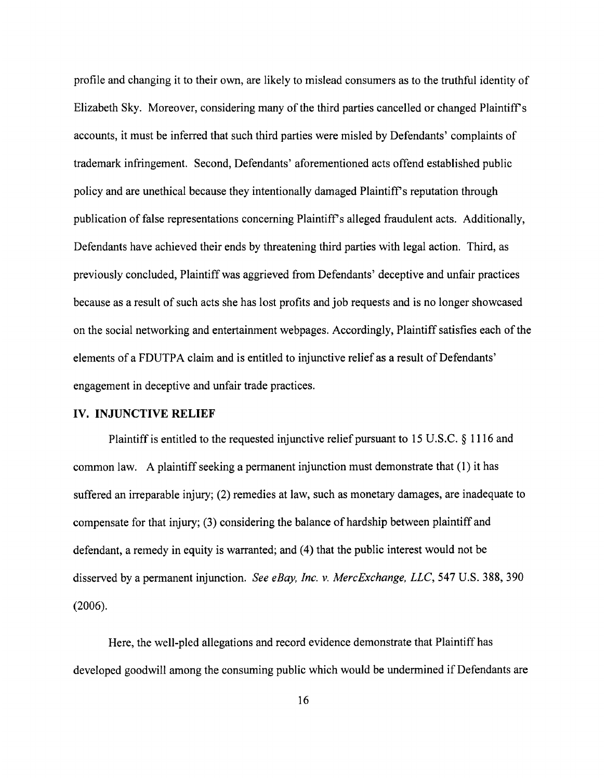profile and changing it to their own, are likely to mislead consumers as to the truthful identity of Elizabeth Sky. Moreover, considering many of the third parties cancelled or changed Plaintiffs accounts, it must be inferred that such third parties were misled by Defendants' complaints of trademark infringement. Second, Defendants' aforementioned acts offend established public policy and are unethical because they intentionally damaged Plaintiff s reputation through publication of false representations concerning Plaintiff's alleged fraudulent acts. Additionally, Defendants have achieved their ends by threatening third parties with legal action. Third, as previously concluded, Plaintiff was aggrieved from Defendants' deceptive and unfair practices because as a result of such acts she has lost profits and job requests and is no longer showcased on the social networking and entertainment webpages. Accordingly, Plaintiff satisfies each of the elements of a FDUTPA claim and is entitled to injunctive relief as a result of Defendants' engagement in deceptive and unfair trade practices.

### **IV. INJUNCTIVE RELIEF**

Plaintiff is entitled to the requested injunctive relief pursuant to 15 U.S.C. § 1116 and common law. A plaintiff seeking a permanent injunction must demonstrate that (1) it has suffered an irreparable injury; (2) remedies at law, such as monetary damages, are inadequate to compensate for that injury; (3) considering the balance of hardship between plaintiff and defendant, a remedy in equity is warranted; and (4) that the public interest would not be disserved by a permanent injunction. *See eBay, Inc.* v. *MercExchange, LLC,* 547 U.S. 388, 390 (2006).

Here, the well-pled allegations and record evidence demonstrate that Plaintiff has developed goodwill among the consuming public which would be undermined if Defendants are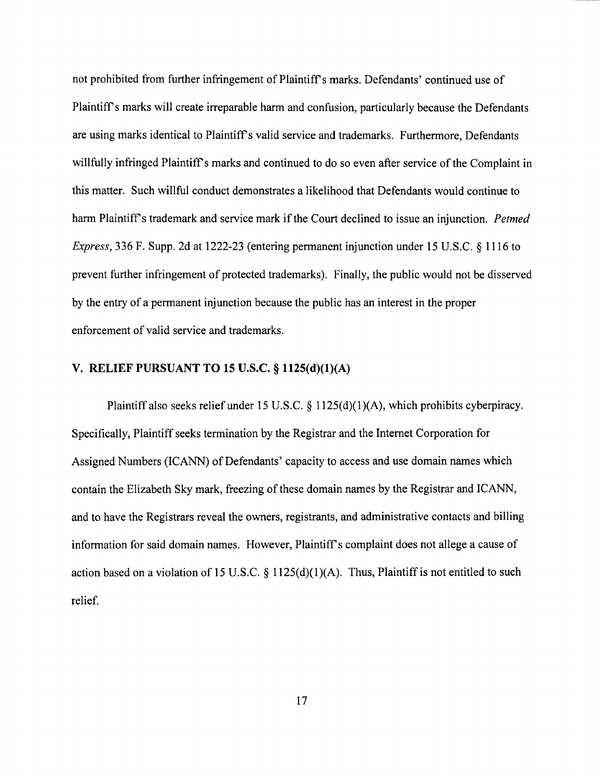not prohibited from further infringement of Plaintiffs marks. Defendants' continued use of Plaintiff's marks will create irreparable harm and confusion, particularly because the Defendants are using marks identical to Plaintiff's valid service and trademarks. Furthermore, Defendants willfully infringed Plaintiff's marks and continued to do so even after service of the Complaint in this matter. Such willful conduct demonstrates a likelihood that Defendants would continue to harm Plaintiff's trademark and service mark if the Court declined to issue an injunction. *Petmed Express,* 336 F. Supp. 2d at 1222-23 (entering permanent injunction under 15 U.S.C. § 1116 to prevent further infringement of protected trademarks). Finally, the public would not be disserved by the entry of a permanent injunction because the public has an interest in the proper enforcement of valid service and trademarks.

### V. RELIEF PURSUANT TO 15 U.S.C. § 1125(d)(1)(A)

Plaintiff also seeks relief under 15 U.S.C. § 1125(d)(1)(A), which prohibits cyberpiracy. Specifically, Plaintiff seeks termination by the Registrar and the Internet Corporation for Assigned Numbers (ICANN) of Defendants' capacity to access and use domain names which contain the Elizabeth Sky mark, freezing of these domain names by the Registrar and ICANN, and to have the Registrars reveal the owners, registrants, and administrative contacts and billing information for said domain names. However, Plaintiff's complaint does not allege a cause of action based on a violation of 15 U.S.C.  $\S$  1125(d)(1)(A). Thus, Plaintiff is not entitled to such relief.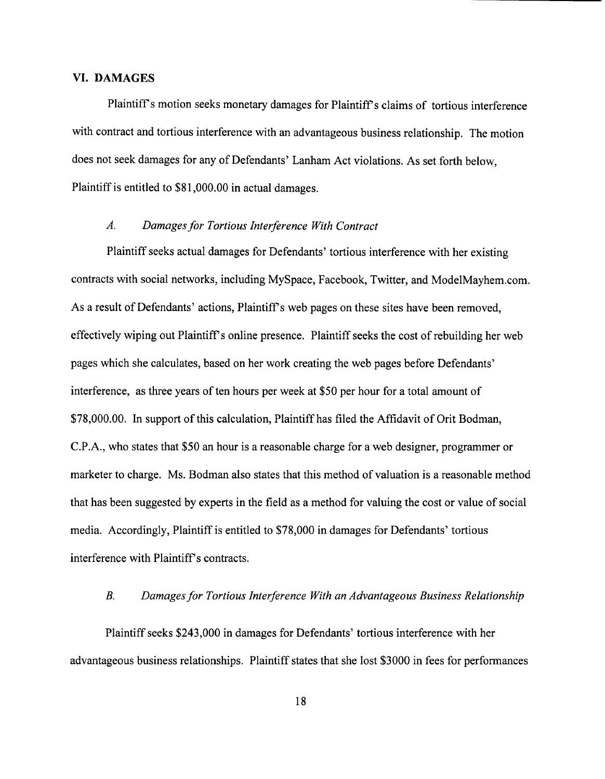### **VI. DAMAGES**

Plaintiff's motion seeks monetary damages for Plaintiff's claims of tortious interference with contract and tortious interference with an advantageous business relationship. The motion does not seek damages for any of Defendants' Lanham Act violations. As set forth below, Plaintiff is entitled to \$81,000.00 in actual damages.

### *A. Damages for Tortious Interference With Contract*

Plaintiff seeks actual damages for Defendants' tortious interference with her existing contracts with social networks, including MySpace, Facebook, Twitter, and ModelMayhem.com. As a result of Defendants' actions, Plaintiff s web pages on these sites have been removed, effectively wiping out Plaintiff s online presence. Plaintiff seeks the cost of rebuilding her web pages which she calculates, based on her work creating the web pages before Defendants' interference, as three years of ten hours per week at \$50 per hour for a total amount of \$78,000.00. In support of this calculation, Plaintiff has filed the Affidavit of Orit Bodman, C.P.A., who states that \$50 an hour is a reasonable charge for a web designer, programmer or marketer to charge. Ms. Bodman also states that this method of valuation is a reasonable method that has been suggested by experts in the field as a method for valuing the cost or value of social media. Accordingly, Plaintiff is entitled to \$78,000 in damages for Defendants' tortious interference with Plaintiff's contracts.

#### *B. Damages for Tortious Interference With an Advantageous Business Relationship*

Plaintiff seeks \$243,000 in damages for Defendants' tortious interference with her advantageous business relationships. Plaintiff states that she lost \$3000 in fees for performances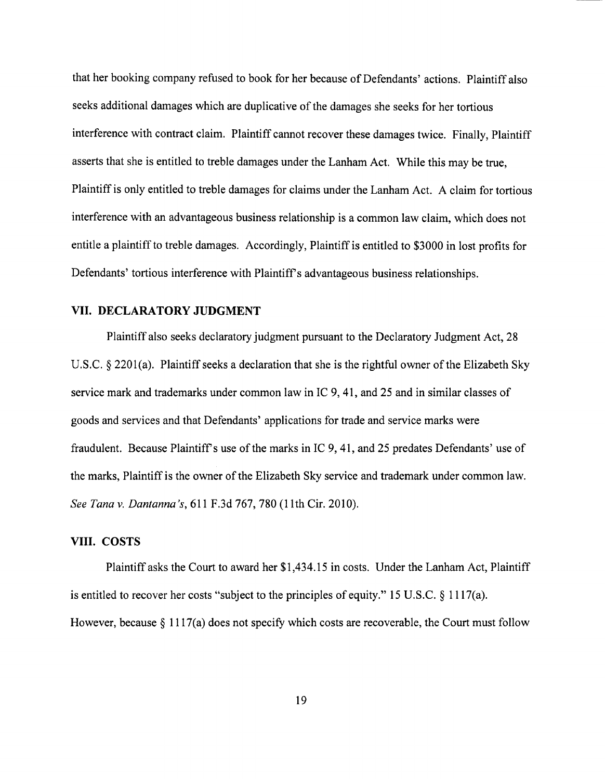that her booking company refused to book for her because of Defendants' actions. Plaintiff also seeks additional damages which are duplicative of the damages she seeks for her tortious interference with contract claim. Plaintiff cannot recover these damages twice. Finally, Plaintiff asserts that she is entitled to treble damages under the Lanham Act. While this may be true, Plaintiff is only entitled to treble damages for claims under the Lanham Act. A claim for tortious interference with an advantageous business relationship is a common law claim, which does not entitle a plaintiff to treble damages. Accordingly, Plaintiff is entitled to \$3000 in lost profits for Defendants' tortious interference with Plaintiff's advantageous business relationships.

### **VII.** DECLARATORY JUDGMENT

Plaintiff also seeks declaratory judgment pursuant to the Declaratory Judgment Act, 28 U.S.C. § 2201(a). Plaintiff seeks a declaration that she is the rightful owner of the Elizabeth Sky service mark and trademarks under common law in IC 9, 41, and 25 and in similar classes of goods and services and that Defendants' applications for trade and service marks were fraudulent. Because Plaintiff's use of the marks in IC 9, 41, and 25 predates Defendants' use of the marks, Plaintiff is the owner of the Elizabeth Sky service and trademark under common law. *See Tana* v. *Dantanna's,* 611 F.3d 767, 780 (lIth Cir. 2010).

### **VIII. COSTS**

Plaintiff asks the Court to award her \$1,434.15 in costs. Under the Lanham Act, Plaintiff is entitled to recover her costs "subject to the principles of equity." 15 U.S.C. § 1117(a). However, because § 1117(a) does not specify which costs are recoverable, the Court must follow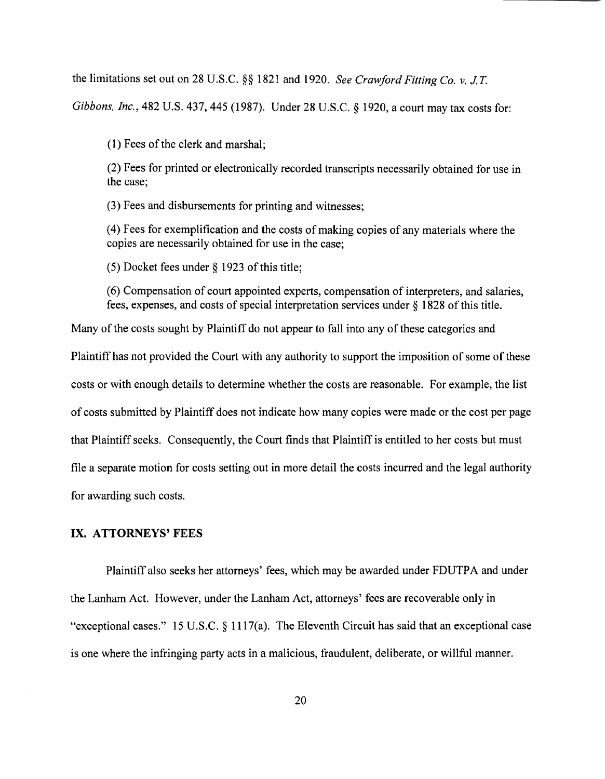the limitations set out on 28 U.S.C. §§ 1821 and 1920. *See Crawford Fitting Co.* v. *J.T.* 

*Gibbons, Inc.,* 482 U.S. 437, 445 (1987). Under 28 U.S.C. § 1920, a court may tax costs for:

(1) Fees of the clerk and marshal;

(2) Fees for printed or electronically recorded transcripts necessarily obtained for use in the case;

(3) Fees and disbursements for printing and witnesses;

(4) Fees for exemplification and the costs of making copies of any materials where the copies are necessarily obtained for use in the case;

(5) Docket fees under § 1923 of this title;

(6) Compensation of court appointed experts, compensation of interpreters, and salaries, fees, expenses, and costs of special interpretation services under § 1828 of this title.

Many of the costs sought by Plaintiff do not appear to fall into any of these categories and Plaintiff has not provided the Court with any authority to support the imposition of some of these costs or with enough details to determine whether the costs are reasonable. For example, the list of costs submitted by Plaintiff does not indicate how many copies were made or the cost per page that Plaintiff seeks. Consequently, the Court finds that Plaintiff is entitled to her costs but must file a separate motion for costs setting out in more detail the costs incurred and the legal authority for awarding such costs.

### **IX. ATTORNEYS' FEES**

Plaintiff also seeks her attorneys' fees, which may be awarded under FDUTPA and under the Lanham Act. However, under the Lanham Act, attorneys' fees are recoverable only in "exceptional cases." 15 U.S.C. § 1117(a). The Eleventh Circuit has said that an exceptional case is one where the infringing party acts in a malicious, fraudulent, deliberate, or willful manner.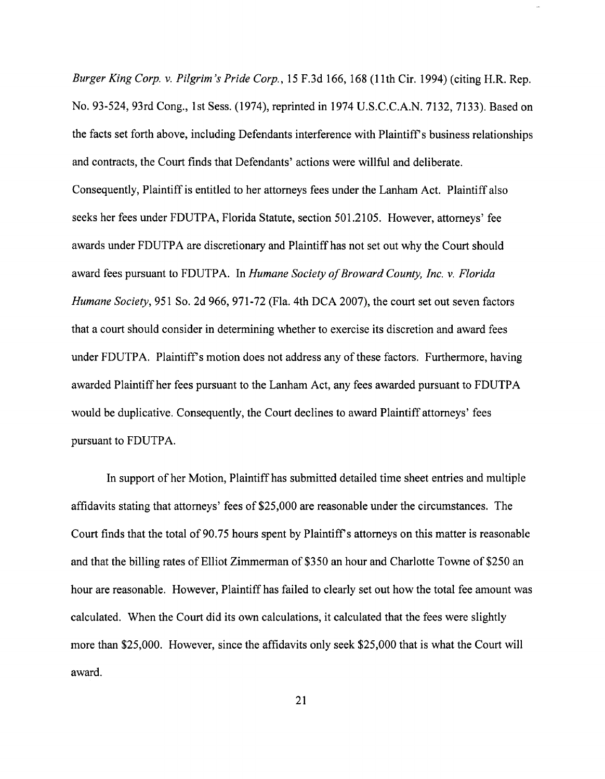*Burger King Corp.* v. *Pilgrim's Pride Corp.,* 15 F.3d 166, 168 (11th Cir. 1994)( citing H.R. Rep. No. 93-524, 93rd Cong., 1st Sess. (1974), reprinted in 1974 u.S.C.C.A.N. 7132, 7133). Based on the facts set forth above, including Defendants interference with Plaintiff's business relationships and contracts, the Court finds that Defendants' actions were willful and deliberate. Consequently, Plaintiff is entitled to her attorneys fees under the Lanham Act. Plaintiff also seeks her fees under FDUTPA, Florida Statute, section 501.2105. However, attorneys' fee awards under FDUTPA are discretionary and Plaintiff has not set out why the Court should award fees pursuant to FDUTPA. In *Humane Society of Broward County, Inc. v. Florida Humane Society*, 951 So. 2d 966, 971-72 (Fla. 4th DCA 2007), the court set out seven factors that a court should consider in determining whether to exercise its discretion and award fees under FDUTPA. Plaintiff's motion does not address any of these factors. Furthermore, having awarded Plaintiff her fees pursuant to the Lanham Act, any fees awarded pursuant to FDUTPA would be duplicative. Consequently, the Court declines to award Plaintiff attorneys' fees pursuant to FDUTPA.

In support of her Motion, Plaintiff has submitted detailed time sheet entries and multiple affidavits stating that attorneys' fees of \$25,000 are reasonable under the circumstances. The Court finds that the total of 90.75 hours spent by Plaintiff's attorneys on this matter is reasonable and that the billing rates of Elliot Zimmerman of\$350 an hour and Charlotte Towne of\$250 an hour are reasonable. However, Plaintiff has failed to clearly set out how the total fee amount was calculated. When the Court did its own calculations, it calculated that the fees were slightly more than \$25,000. However, since the affidavits only seek \$25,000 that is what the Court will award.